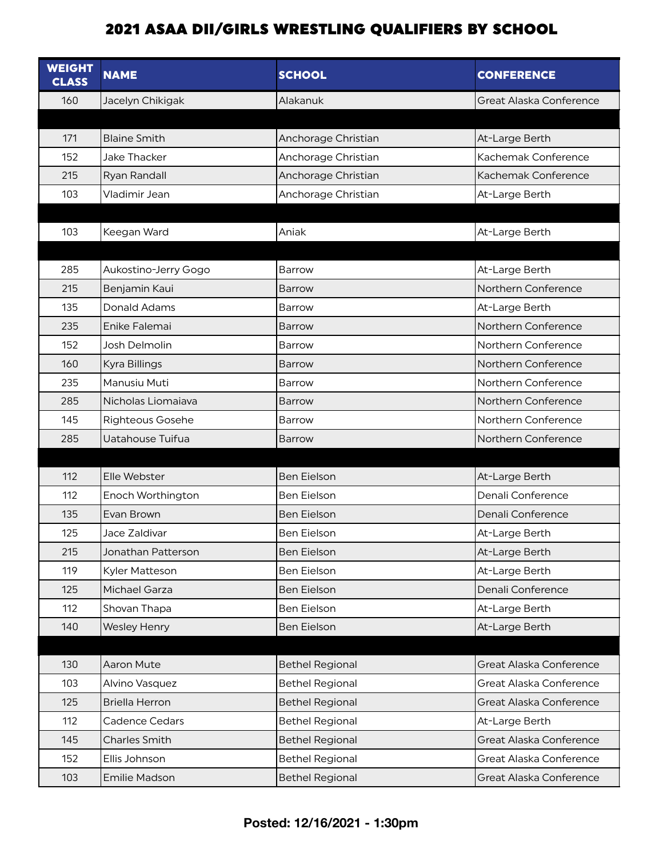| <b>WEIGHT</b><br><b>CLASS</b> | <b>NAME</b>             | <b>SCHOOL</b>          | <b>CONFERENCE</b>       |
|-------------------------------|-------------------------|------------------------|-------------------------|
| 160                           | Jacelyn Chikigak        | Alakanuk               | Great Alaska Conference |
|                               |                         |                        |                         |
| 171                           | <b>Blaine Smith</b>     | Anchorage Christian    | At-Large Berth          |
| 152                           | <b>Jake Thacker</b>     | Anchorage Christian    | Kachemak Conference     |
| 215                           | Ryan Randall            | Anchorage Christian    | Kachemak Conference     |
| 103                           | Vladimir Jean           | Anchorage Christian    | At-Large Berth          |
|                               |                         |                        |                         |
| 103                           | Keegan Ward             | Aniak                  | At-Large Berth          |
|                               |                         |                        |                         |
| 285                           | Aukostino-Jerry Gogo    | Barrow                 | At-Large Berth          |
| 215                           | Benjamin Kaui           | Barrow                 | Northern Conference     |
| 135                           | <b>Donald Adams</b>     | Barrow                 | At-Large Berth          |
| 235                           | Enike Falemai           | <b>Barrow</b>          | Northern Conference     |
| 152                           | <b>Josh Delmolin</b>    | Barrow                 | Northern Conference     |
| 160                           | Kyra Billings           | <b>Barrow</b>          | Northern Conference     |
| 235                           | Manusiu Muti            | Barrow                 | Northern Conference     |
| 285                           | Nicholas Liomaiava      | <b>Barrow</b>          | Northern Conference     |
| 145                           | <b>Righteous Gosehe</b> | Barrow                 | Northern Conference     |
| 285                           | Uatahouse Tuifua        | Barrow                 | Northern Conference     |
|                               |                         |                        |                         |
| 112                           | Elle Webster            | <b>Ben Eielson</b>     | At-Large Berth          |
| 112                           | Enoch Worthington       | Ben Eielson            | Denali Conference       |
| 135                           | Evan Brown              | <b>Ben Eielson</b>     | Denali Conference       |
| 125                           | Jace Zaldivar           | <b>Ben Eielson</b>     | At-Large Berth          |
| 215                           | Jonathan Patterson      | <b>Ben Eielson</b>     | At-Large Berth          |
| 119                           | Kyler Matteson          | Ben Eielson            | At-Large Berth          |
| 125                           | Michael Garza           | <b>Ben Eielson</b>     | Denali Conference       |
| 112                           | Shovan Thapa            | Ben Eielson            | At-Large Berth          |
| 140                           | <b>Wesley Henry</b>     | Ben Eielson            | At-Large Berth          |
|                               |                         |                        |                         |
| 130                           | Aaron Mute              | <b>Bethel Regional</b> | Great Alaska Conference |
| 103                           | Alvino Vasquez          | <b>Bethel Regional</b> | Great Alaska Conference |
| 125                           | <b>Briella Herron</b>   | <b>Bethel Regional</b> | Great Alaska Conference |
| 112                           | <b>Cadence Cedars</b>   | <b>Bethel Regional</b> | At-Large Berth          |
| 145                           | <b>Charles Smith</b>    | <b>Bethel Regional</b> | Great Alaska Conference |
| 152                           | Ellis Johnson           | <b>Bethel Regional</b> | Great Alaska Conference |
| 103                           | <b>Emilie Madson</b>    | <b>Bethel Regional</b> | Great Alaska Conference |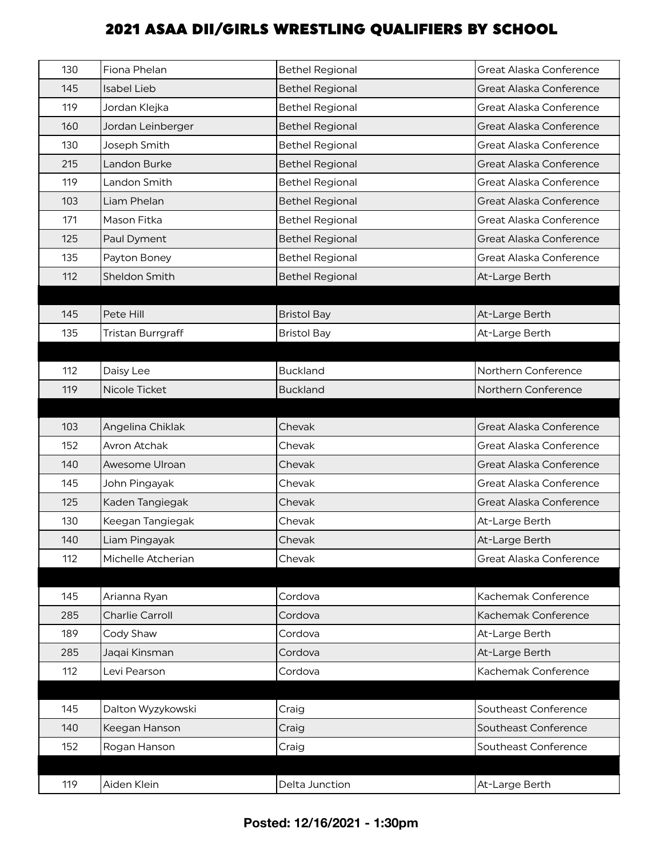| 130 | Fiona Phelan             | <b>Bethel Regional</b> | Great Alaska Conference |
|-----|--------------------------|------------------------|-------------------------|
| 145 | <b>Isabel Lieb</b>       | <b>Bethel Regional</b> | Great Alaska Conference |
| 119 | Jordan Klejka            | <b>Bethel Regional</b> | Great Alaska Conference |
| 160 | Jordan Leinberger        | <b>Bethel Regional</b> | Great Alaska Conference |
| 130 | Joseph Smith             | <b>Bethel Regional</b> | Great Alaska Conference |
| 215 | Landon Burke             | <b>Bethel Regional</b> | Great Alaska Conference |
| 119 | Landon Smith             | <b>Bethel Regional</b> | Great Alaska Conference |
| 103 | Liam Phelan              | <b>Bethel Regional</b> | Great Alaska Conference |
| 171 | Mason Fitka              | <b>Bethel Regional</b> | Great Alaska Conference |
| 125 | Paul Dyment              | <b>Bethel Regional</b> | Great Alaska Conference |
| 135 | Payton Boney             | <b>Bethel Regional</b> | Great Alaska Conference |
| 112 | Sheldon Smith            | <b>Bethel Regional</b> | At-Large Berth          |
|     |                          |                        |                         |
| 145 | Pete Hill                | <b>Bristol Bay</b>     | At-Large Berth          |
| 135 | <b>Tristan Burrgraff</b> | <b>Bristol Bay</b>     | At-Large Berth          |
|     |                          |                        |                         |
| 112 | Daisy Lee                | <b>Buckland</b>        | Northern Conference     |
| 119 | Nicole Ticket            | <b>Buckland</b>        | Northern Conference     |
|     |                          |                        |                         |
| 103 | Angelina Chiklak         | Chevak                 | Great Alaska Conference |
| 152 | <b>Avron Atchak</b>      | Chevak                 | Great Alaska Conference |
| 140 | Awesome Ulroan           | Chevak                 | Great Alaska Conference |
| 145 | John Pingayak            | Chevak                 | Great Alaska Conference |
| 125 | Kaden Tangiegak          | Chevak                 | Great Alaska Conference |
| 130 | Keegan Tangiegak         | Chevak                 | At-Large Berth          |
| 140 | Liam Pingayak            | Chevak                 | At-Large Berth          |
| 112 | Michelle Atcherian       | Chevak                 | Great Alaska Conference |
|     |                          |                        |                         |
| 145 | Arianna Ryan             | Cordova                | Kachemak Conference     |
| 285 | Charlie Carroll          | Cordova                | Kachemak Conference     |
| 189 | Cody Shaw                | Cordova                | At-Large Berth          |
| 285 | Jaqai Kinsman            | Cordova                | At-Large Berth          |
| 112 | Levi Pearson             | Cordova                | Kachemak Conference     |
|     |                          |                        |                         |
| 145 | Dalton Wyzykowski        | Craig                  | Southeast Conference    |
| 140 | Keegan Hanson            | Craig                  | Southeast Conference    |
| 152 | Rogan Hanson             | Craig                  | Southeast Conference    |
|     |                          |                        |                         |
| 119 | Aiden Klein              | Delta Junction         | At-Large Berth          |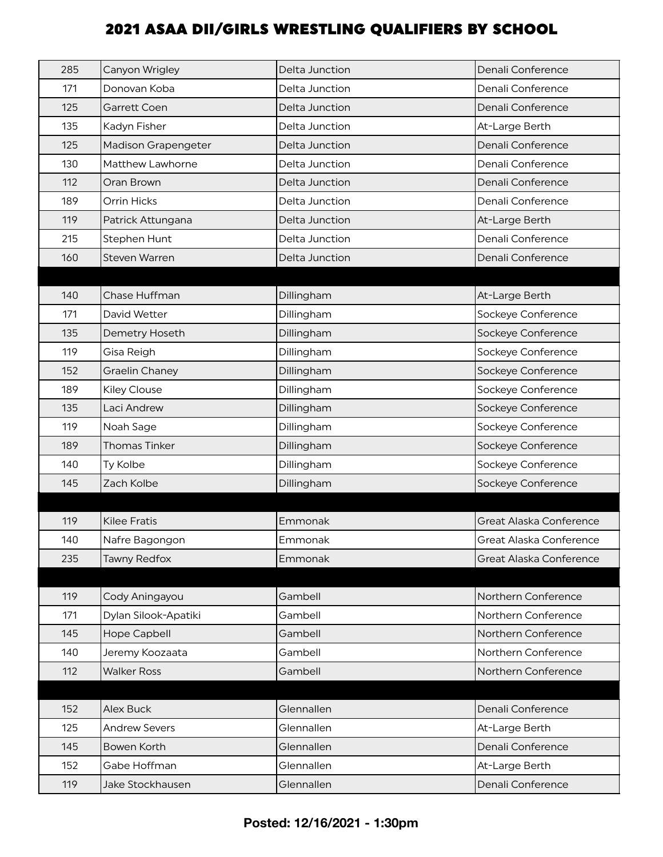| 285 | Canyon Wrigley             | Delta Junction | Denali Conference       |
|-----|----------------------------|----------------|-------------------------|
| 171 | Donovan Koba               | Delta Junction | Denali Conference       |
| 125 | Garrett Coen               | Delta Junction | Denali Conference       |
| 135 | Kadyn Fisher               | Delta Junction | At-Large Berth          |
| 125 | <b>Madison Grapengeter</b> | Delta Junction | Denali Conference       |
| 130 | Matthew Lawhorne           | Delta Junction | Denali Conference       |
| 112 | Oran Brown                 | Delta Junction | Denali Conference       |
| 189 | Orrin Hicks                | Delta Junction | Denali Conference       |
| 119 | Patrick Attungana          | Delta Junction | At-Large Berth          |
| 215 | Stephen Hunt               | Delta Junction | Denali Conference       |
| 160 | <b>Steven Warren</b>       | Delta Junction | Denali Conference       |
|     |                            |                |                         |
| 140 | Chase Huffman              | Dillingham     | At-Large Berth          |
| 171 | David Wetter               | Dillingham     | Sockeye Conference      |
| 135 | Demetry Hoseth             | Dillingham     | Sockeye Conference      |
| 119 | Gisa Reigh                 | Dillingham     | Sockeye Conference      |
| 152 | <b>Graelin Chaney</b>      | Dillingham     | Sockeye Conference      |
| 189 | <b>Kiley Clouse</b>        | Dillingham     | Sockeye Conference      |
| 135 | Laci Andrew                | Dillingham     | Sockeye Conference      |
| 119 | Noah Sage                  | Dillingham     | Sockeye Conference      |
| 189 | <b>Thomas Tinker</b>       | Dillingham     | Sockeye Conference      |
| 140 | Ty Kolbe                   | Dillingham     | Sockeye Conference      |
| 145 | Zach Kolbe                 | Dillingham     | Sockeye Conference      |
|     |                            |                |                         |
| 119 | <b>Kilee Fratis</b>        | Emmonak        | Great Alaska Conference |
| 140 | Nafre Bagongon             | Emmonak        | Great Alaska Conference |
| 235 | <b>Tawny Redfox</b>        | Emmonak        | Great Alaska Conference |
|     |                            |                |                         |
| 119 | Cody Aningayou             | Gambell        | Northern Conference     |
| 171 | Dylan Silook-Apatiki       | Gambell        | Northern Conference     |
| 145 | Hope Capbell               | Gambell        | Northern Conference     |
| 140 | Jeremy Koozaata            | Gambell        | Northern Conference     |
| 112 | <b>Walker Ross</b>         | Gambell        | Northern Conference     |
|     |                            |                |                         |
| 152 | Alex Buck                  | Glennallen     | Denali Conference       |
| 125 | <b>Andrew Severs</b>       | Glennallen     | At-Large Berth          |
| 145 | Bowen Korth                | Glennallen     | Denali Conference       |
| 152 | Gabe Hoffman               | Glennallen     | At-Large Berth          |
| 119 | Jake Stockhausen           | Glennallen     | Denali Conference       |
|     |                            |                |                         |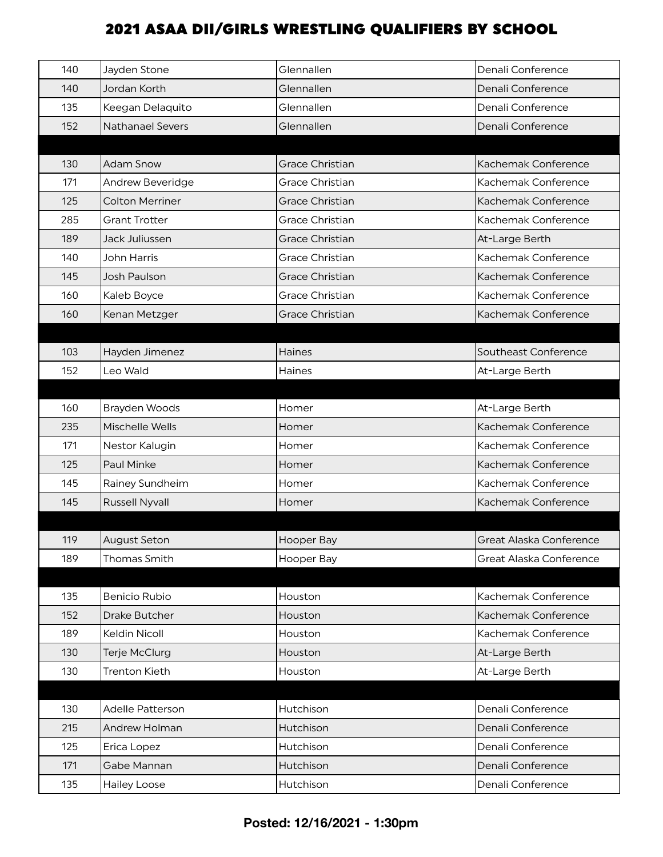| 140 | Jayden Stone            | Glennallen             | Denali Conference       |
|-----|-------------------------|------------------------|-------------------------|
| 140 | Jordan Korth            | Glennallen             | Denali Conference       |
| 135 | Keegan Delaquito        | Glennallen             | Denali Conference       |
| 152 | <b>Nathanael Severs</b> | Glennallen             | Denali Conference       |
|     |                         |                        |                         |
| 130 | <b>Adam Snow</b>        | <b>Grace Christian</b> | Kachemak Conference     |
| 171 | <b>Andrew Beveridge</b> | Grace Christian        | Kachemak Conference     |
| 125 | <b>Colton Merriner</b>  | <b>Grace Christian</b> | Kachemak Conference     |
| 285 | <b>Grant Trotter</b>    | Grace Christian        | Kachemak Conference     |
| 189 | Jack Juliussen          | <b>Grace Christian</b> | At-Large Berth          |
| 140 | John Harris             | Grace Christian        | Kachemak Conference     |
| 145 | Josh Paulson            | <b>Grace Christian</b> | Kachemak Conference     |
| 160 | Kaleb Boyce             | Grace Christian        | Kachemak Conference     |
| 160 | Kenan Metzger           | <b>Grace Christian</b> | Kachemak Conference     |
|     |                         |                        |                         |
| 103 | Hayden Jimenez          | Haines                 | Southeast Conference    |
| 152 | Leo Wald                | Haines                 | At-Large Berth          |
|     |                         |                        |                         |
| 160 | <b>Brayden Woods</b>    | Homer                  | At-Large Berth          |
| 235 | Mischelle Wells         | Homer                  | Kachemak Conference     |
| 171 | Nestor Kalugin          | Homer                  | Kachemak Conference     |
| 125 | Paul Minke              | Homer                  | Kachemak Conference     |
| 145 | Rainey Sundheim         | Homer                  | Kachemak Conference     |
| 145 | <b>Russell Nyvall</b>   | Homer                  | Kachemak Conference     |
|     |                         |                        |                         |
| 119 | <b>August Seton</b>     | Hooper Bay             | Great Alaska Conference |
| 189 | Thomas Smith            | Hooper Bay             | Great Alaska Conference |
|     |                         |                        |                         |
| 135 | <b>Benicio Rubio</b>    | Houston                | Kachemak Conference     |
| 152 | Drake Butcher           | Houston                | Kachemak Conference     |
| 189 | Keldin Nicoll           | Houston                | Kachemak Conference     |
| 130 | Terje McClurg           | Houston                | At-Large Berth          |
| 130 | <b>Trenton Kieth</b>    | Houston                | At-Large Berth          |
|     |                         |                        |                         |
| 130 | Adelle Patterson        | Hutchison              | Denali Conference       |
| 215 | Andrew Holman           | Hutchison              | Denali Conference       |
| 125 | Erica Lopez             | Hutchison              | Denali Conference       |
| 171 | Gabe Mannan             | Hutchison              | Denali Conference       |
| 135 | <b>Hailey Loose</b>     | Hutchison              | Denali Conference       |
|     |                         |                        |                         |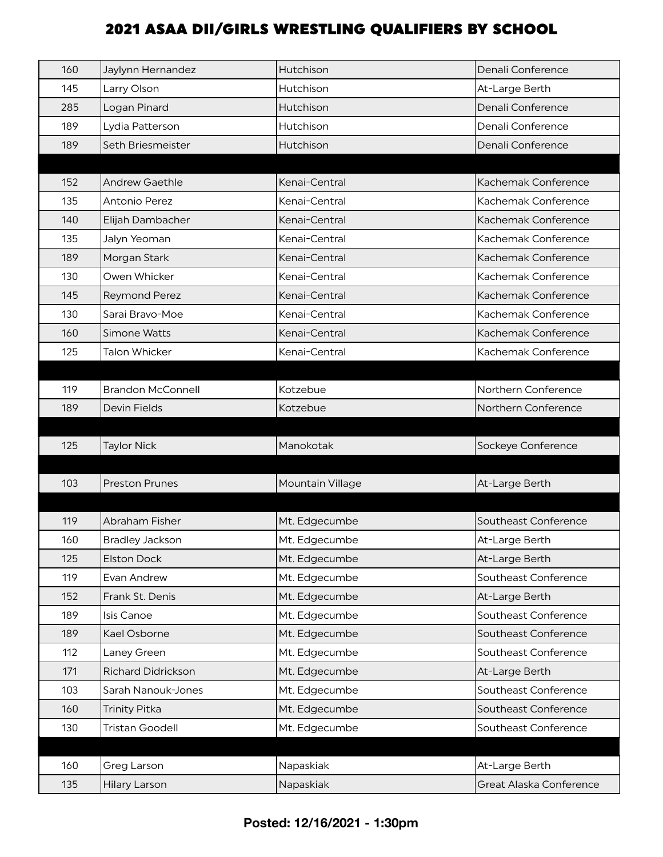| 160 | Jaylynn Hernandez         | Hutchison        | Denali Conference    |
|-----|---------------------------|------------------|----------------------|
| 145 | Larry Olson               | <b>Hutchison</b> | At-Large Berth       |
| 285 | Logan Pinard              | Hutchison        | Denali Conference    |
| 189 | Lydia Patterson           | Hutchison        | Denali Conference    |
| 189 | Seth Briesmeister         | Hutchison        | Denali Conference    |
|     |                           |                  |                      |
| 152 | <b>Andrew Gaethle</b>     | Kenai-Central    | Kachemak Conference  |
| 135 | Antonio Perez             | Kenai-Central    | Kachemak Conference  |
| 140 | Elijah Dambacher          | Kenai-Central    | Kachemak Conference  |
| 135 | Jalyn Yeoman              | Kenai-Central    | Kachemak Conference  |
| 189 | Morgan Stark              | Kenai-Central    | Kachemak Conference  |
| 130 | Owen Whicker              | Kenai-Central    | Kachemak Conference  |
| 145 | <b>Reymond Perez</b>      | Kenai-Central    | Kachemak Conference  |
| 130 | Sarai Bravo-Moe           | Kenai-Central    | Kachemak Conference  |
| 160 | Simone Watts              | Kenai-Central    | Kachemak Conference  |
| 125 | <b>Talon Whicker</b>      | Kenai-Central    | Kachemak Conference  |
|     |                           |                  |                      |
| 119 | <b>Brandon McConnell</b>  | Kotzebue         | Northern Conference  |
| 189 | Devin Fields              | Kotzebue         | Northern Conference  |
|     |                           |                  |                      |
| 125 | <b>Taylor Nick</b>        | Manokotak        | Sockeye Conference   |
|     |                           |                  |                      |
|     |                           |                  |                      |
| 103 | <b>Preston Prunes</b>     | Mountain Village | At-Large Berth       |
|     |                           |                  |                      |
| 119 | Abraham Fisher            | Mt. Edgecumbe    | Southeast Conference |
| 160 | <b>Bradley Jackson</b>    | Mt. Edgecumbe    | At-Large Berth       |
| 125 | <b>Elston Dock</b>        | Mt. Edgecumbe    | At-Large Berth       |
| 119 | Evan Andrew               | Mt. Edgecumbe    | Southeast Conference |
| 152 | Frank St. Denis           | Mt. Edgecumbe    | At-Large Berth       |
| 189 | Isis Canoe                | Mt. Edgecumbe    | Southeast Conference |
| 189 | Kael Osborne              | Mt. Edgecumbe    | Southeast Conference |
| 112 | Laney Green               | Mt. Edgecumbe    | Southeast Conference |
| 171 | <b>Richard Didrickson</b> | Mt. Edgecumbe    | At-Large Berth       |
| 103 | Sarah Nanouk-Jones        | Mt. Edgecumbe    | Southeast Conference |
| 160 | <b>Trinity Pitka</b>      | Mt. Edgecumbe    | Southeast Conference |
| 130 | <b>Tristan Goodell</b>    | Mt. Edgecumbe    | Southeast Conference |
|     |                           |                  |                      |
| 160 | Greg Larson               | Napaskiak        | At-Large Berth       |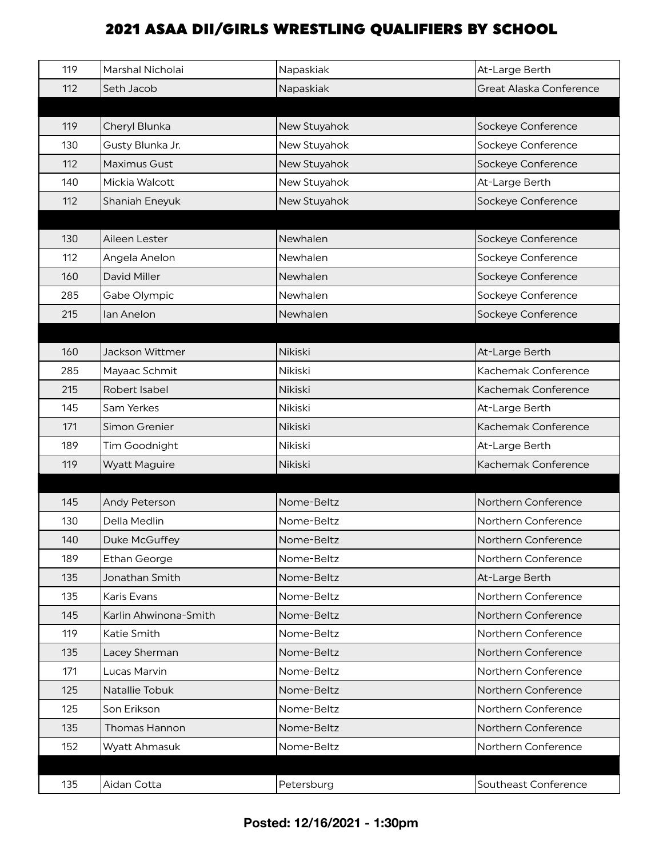| 119 | Marshal Nicholai      | Napaskiak    | At-Large Berth          |
|-----|-----------------------|--------------|-------------------------|
| 112 | Seth Jacob            | Napaskiak    | Great Alaska Conference |
|     |                       |              |                         |
| 119 | Cheryl Blunka         | New Stuyahok | Sockeye Conference      |
| 130 | Gusty Blunka Jr.      | New Stuyahok | Sockeye Conference      |
| 112 | Maximus Gust          | New Stuyahok | Sockeye Conference      |
| 140 | Mickia Walcott        | New Stuyahok | At-Large Berth          |
| 112 | Shaniah Eneyuk        | New Stuyahok | Sockeye Conference      |
|     |                       |              |                         |
| 130 | Aileen Lester         | Newhalen     | Sockeye Conference      |
| 112 | Angela Anelon         | Newhalen     | Sockeye Conference      |
| 160 | <b>David Miller</b>   | Newhalen     | Sockeye Conference      |
| 285 | Gabe Olympic          | Newhalen     | Sockeye Conference      |
| 215 | lan Anelon            | Newhalen     | Sockeye Conference      |
|     |                       |              |                         |
| 160 | Jackson Wittmer       | Nikiski      | At-Large Berth          |
| 285 | Mayaac Schmit         | Nikiski      | Kachemak Conference     |
| 215 | Robert Isabel         | Nikiski      | Kachemak Conference     |
| 145 | Sam Yerkes            | Nikiski      | At-Large Berth          |
| 171 | Simon Grenier         | Nikiski      | Kachemak Conference     |
| 189 | Tim Goodnight         | Nikiski      | At-Large Berth          |
| 119 | <b>Wyatt Maguire</b>  | Nikiski      | Kachemak Conference     |
|     |                       |              |                         |
| 145 | Andy Peterson         | Nome-Beltz   | Northern Conference     |
| 130 | Della Medlin          | Nome-Beltz   | Northern Conference     |
| 140 | Duke McGuffey         | Nome-Beltz   | Northern Conference     |
| 189 | <b>Ethan George</b>   | Nome-Beltz   | Northern Conference     |
| 135 | Jonathan Smith        | Nome-Beltz   | At-Large Berth          |
| 135 | Karis Evans           | Nome-Beltz   | Northern Conference     |
| 145 | Karlin Ahwinona-Smith | Nome-Beltz   | Northern Conference     |
| 119 | Katie Smith           | Nome-Beltz   | Northern Conference     |
| 135 | Lacey Sherman         | Nome-Beltz   | Northern Conference     |
| 171 | Lucas Marvin          | Nome-Beltz   | Northern Conference     |
| 125 | Natallie Tobuk        | Nome-Beltz   | Northern Conference     |
| 125 | Son Erikson           | Nome-Beltz   | Northern Conference     |
| 135 | Thomas Hannon         | Nome-Beltz   | Northern Conference     |
| 152 | Wyatt Ahmasuk         | Nome-Beltz   | Northern Conference     |
|     |                       |              |                         |
| 135 | Aidan Cotta           | Petersburg   | Southeast Conference    |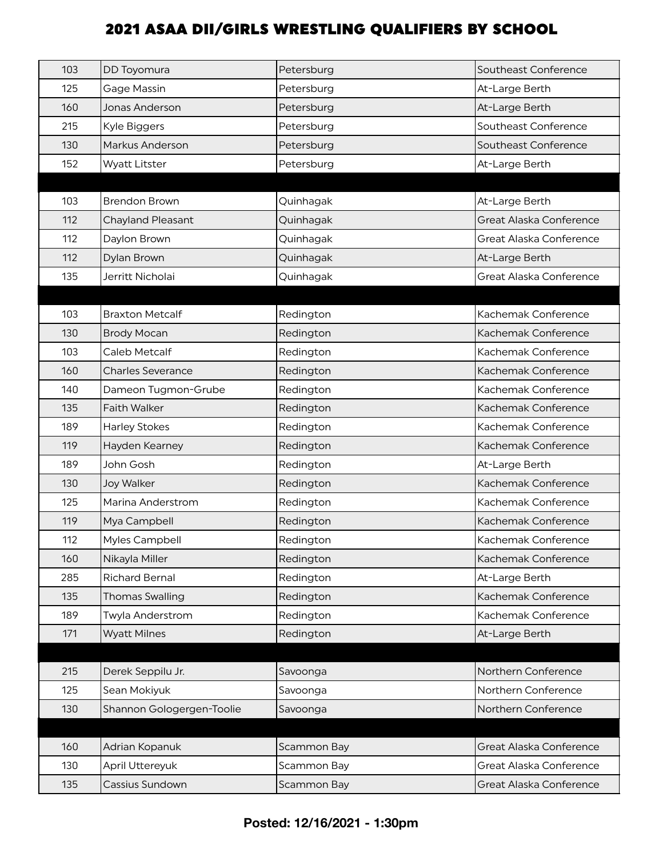| 103 | DD Toyomura               | Petersburg  | Southeast Conference    |
|-----|---------------------------|-------------|-------------------------|
| 125 | Gage Massin               | Petersburg  | At-Large Berth          |
| 160 | Jonas Anderson            | Petersburg  | At-Large Berth          |
| 215 | Kyle Biggers              | Petersburg  | Southeast Conference    |
| 130 | Markus Anderson           | Petersburg  | Southeast Conference    |
| 152 | <b>Wyatt Litster</b>      | Petersburg  | At-Large Berth          |
|     |                           |             |                         |
| 103 | <b>Brendon Brown</b>      | Quinhagak   | At-Large Berth          |
| 112 | <b>Chayland Pleasant</b>  | Quinhagak   | Great Alaska Conference |
| 112 | Daylon Brown              | Quinhagak   | Great Alaska Conference |
| 112 | Dylan Brown               | Quinhagak   | At-Large Berth          |
| 135 | Jerritt Nicholai          | Quinhagak   | Great Alaska Conference |
|     |                           |             |                         |
| 103 | <b>Braxton Metcalf</b>    | Redington   | Kachemak Conference     |
| 130 | <b>Brody Mocan</b>        | Redington   | Kachemak Conference     |
| 103 | Caleb Metcalf             | Redington   | Kachemak Conference     |
| 160 | <b>Charles Severance</b>  | Redington   | Kachemak Conference     |
| 140 | Dameon Tugmon-Grube       | Redington   | Kachemak Conference     |
| 135 | <b>Faith Walker</b>       | Redington   | Kachemak Conference     |
| 189 | <b>Harley Stokes</b>      | Redington   | Kachemak Conference     |
| 119 | Hayden Kearney            | Redington   | Kachemak Conference     |
| 189 | John Gosh                 | Redington   | At-Large Berth          |
| 130 | <b>Joy Walker</b>         | Redington   | Kachemak Conference     |
| 125 | Marina Anderstrom         | Redington   | Kachemak Conference     |
| 119 | Mya Campbell              | Redington   | Kachemak Conference     |
| 112 | Myles Campbell            | Redinaton   | Kachemak Conference     |
| 160 | Nikayla Miller            | Redington   | Kachemak Conference     |
| 285 | <b>Richard Bernal</b>     | Redington   | At-Large Berth          |
| 135 | <b>Thomas Swalling</b>    | Redington   | Kachemak Conference     |
| 189 | Twyla Anderstrom          | Redington   | Kachemak Conference     |
| 171 | <b>Wyatt Milnes</b>       | Redington   | At-Large Berth          |
|     |                           |             |                         |
| 215 | Derek Seppilu Jr.         | Savoonga    | Northern Conference     |
| 125 | Sean Mokiyuk              | Savoonga    | Northern Conference     |
| 130 | Shannon Gologergen-Toolie | Savoonga    | Northern Conference     |
|     |                           |             |                         |
| 160 | Adrian Kopanuk            | Scammon Bay | Great Alaska Conference |
| 130 | April Uttereyuk           | Scammon Bay | Great Alaska Conference |
| 135 | Cassius Sundown           | Scammon Bay | Great Alaska Conference |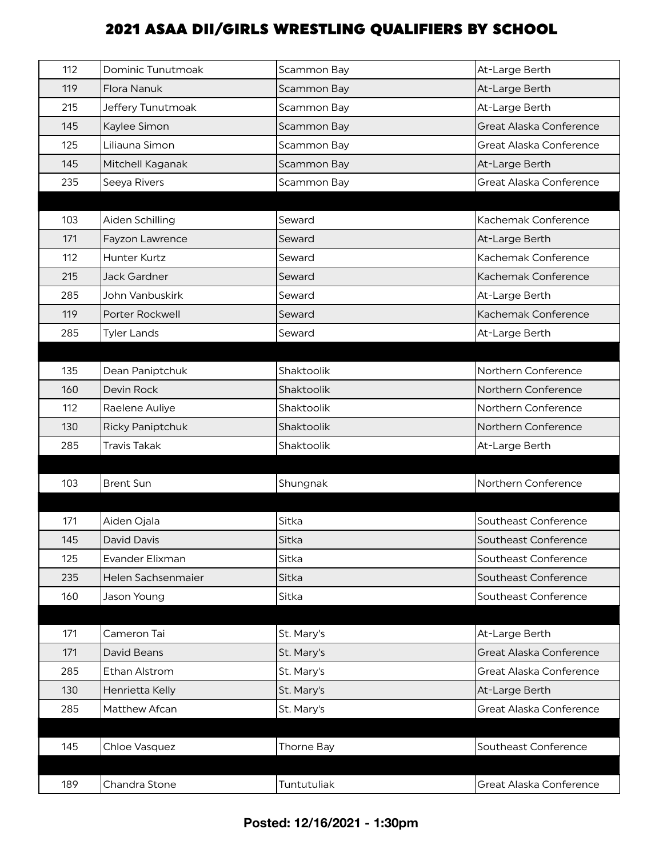| 112 | Dominic Tunutmoak       | Scammon Bay | At-Large Berth          |
|-----|-------------------------|-------------|-------------------------|
| 119 | Flora Nanuk             | Scammon Bay | At-Large Berth          |
| 215 | Jeffery Tunutmoak       | Scammon Bay | At-Large Berth          |
| 145 | Kaylee Simon            | Scammon Bay | Great Alaska Conference |
| 125 | Liliauna Simon          | Scammon Bay | Great Alaska Conference |
| 145 | Mitchell Kaganak        | Scammon Bay | At-Large Berth          |
| 235 | Seeya Rivers            | Scammon Bay | Great Alaska Conference |
|     |                         |             |                         |
| 103 | Aiden Schilling         | Seward      | Kachemak Conference     |
| 171 | Fayzon Lawrence         | Seward      | At-Large Berth          |
| 112 | Hunter Kurtz            | Seward      | Kachemak Conference     |
| 215 | Jack Gardner            | Seward      | Kachemak Conference     |
| 285 | John Vanbuskirk         | Seward      | At-Large Berth          |
| 119 | Porter Rockwell         | Seward      | Kachemak Conference     |
| 285 | <b>Tyler Lands</b>      | Seward      | At-Large Berth          |
|     |                         |             |                         |
| 135 | Dean Paniptchuk         | Shaktoolik  | Northern Conference     |
| 160 | Devin Rock              | Shaktoolik  | Northern Conference     |
| 112 | Raelene Auliye          | Shaktoolik  | Northern Conference     |
| 130 | <b>Ricky Paniptchuk</b> | Shaktoolik  | Northern Conference     |
| 285 | Travis Takak            | Shaktoolik  | At-Large Berth          |
|     |                         |             |                         |
| 103 | <b>Brent Sun</b>        | Shungnak    | Northern Conference     |
|     |                         |             |                         |
| 171 | Aiden Ojala             | Sitka       | Southeast Conference    |
| 145 | David Davis             | Sitka       | Southeast Conference    |
| 125 | Evander Elixman         | Sitka       | Southeast Conference    |
| 235 | Helen Sachsenmaier      | Sitka       | Southeast Conference    |
| 160 | Jason Young             | Sitka       | Southeast Conference    |
|     |                         |             |                         |
| 171 | Cameron Tai             | St. Mary's  | At-Large Berth          |
| 171 | David Beans             | St. Mary's  | Great Alaska Conference |
| 285 | Ethan Alstrom           | St. Mary's  | Great Alaska Conference |
| 130 | Henrietta Kelly         | St. Mary's  | At-Large Berth          |
| 285 | Matthew Afcan           | St. Mary's  | Great Alaska Conference |
|     |                         |             |                         |
| 145 | Chloe Vasquez           | Thorne Bay  | Southeast Conference    |
|     |                         |             |                         |
| 189 | Chandra Stone           | Tuntutuliak | Great Alaska Conference |